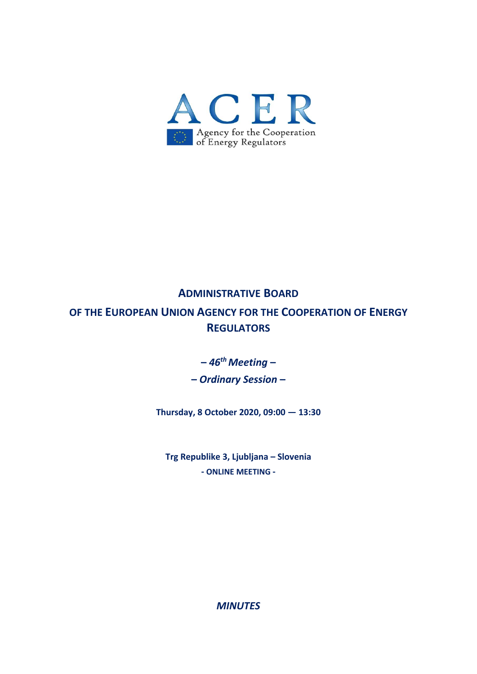

# **ADMINISTRATIVE BOARD**

**OF THE EUROPEAN UNION AGENCY FOR THE COOPERATION OF ENERGY REGULATORS**

**–** *46th Meeting* **–** 

**–** *Ordinary Session* **–** 

**Thursday, 8 October 2020, 09:00 — 13:30** 

**Trg Republike 3, Ljubljana – Slovenia ‐ ONLINE MEETING ‐** 

*MINUTES*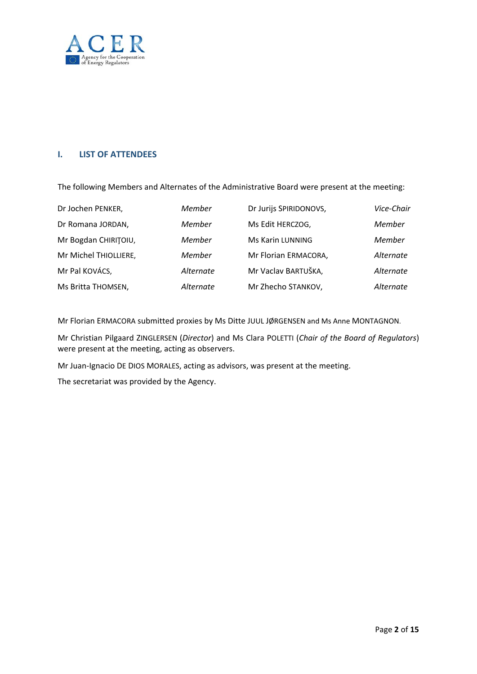

# **I. LIST OF ATTENDEES**

The following Members and Alternates of the Administrative Board were present at the meeting:

| Dr Jochen PENKER,     | Member    | Dr Jurijs SPIRIDONOVS, | Vice-Chair |
|-----------------------|-----------|------------------------|------------|
| Dr Romana JORDAN,     | Member    | Ms Edit HERCZOG,       | Member     |
| Mr Bogdan CHIRITOIU,  | Member    | Ms Karin LUNNING       | Member     |
| Mr Michel THIOLLIERE, | Member    | Mr Florian ERMACORA,   | Alternate  |
| Mr Pal KOVÁCS,        | Alternate | Mr Vaclav BARTUŠKA,    | Alternate  |
| Ms Britta THOMSEN,    | Alternate | Mr Zhecho STANKOV,     | Alternate  |

Mr Florian ERMACORA submitted proxies by Ms Ditte JUUL JØRGENSEN and Ms Anne MONTAGNON.

Mr Christian Pilgaard ZINGLERSEN (*Director*) and Ms Clara POLETTI (*Chair of the Board of Regulators*) were present at the meeting, acting as observers.

Mr Juan-Ignacio DE DIOS MORALES, acting as advisors, was present at the meeting.

The secretariat was provided by the Agency.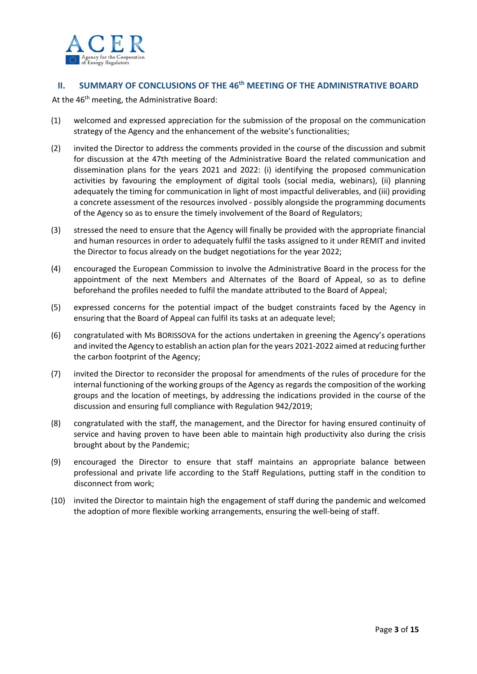

# **II. SUMMARY OF CONCLUSIONS OF THE 46th MEETING OF THE ADMINISTRATIVE BOARD**

At the 46<sup>th</sup> meeting, the Administrative Board:

- (1) welcomed and expressed appreciation for the submission of the proposal on the communication strategy of the Agency and the enhancement of the website's functionalities;
- (2) invited the Director to address the comments provided in the course of the discussion and submit for discussion at the 47th meeting of the Administrative Board the related communication and dissemination plans for the years 2021 and 2022: (i) identifying the proposed communication activities by favouring the employment of digital tools (social media, webinars), (ii) planning adequately the timing for communication in light of most impactful deliverables, and (iii) providing a concrete assessment of the resources involved ‐ possibly alongside the programming documents of the Agency so as to ensure the timely involvement of the Board of Regulators;
- (3) stressed the need to ensure that the Agency will finally be provided with the appropriate financial and human resources in order to adequately fulfil the tasks assigned to it under REMIT and invited the Director to focus already on the budget negotiations for the year 2022;
- (4) encouraged the European Commission to involve the Administrative Board in the process for the appointment of the next Members and Alternates of the Board of Appeal, so as to define beforehand the profiles needed to fulfil the mandate attributed to the Board of Appeal;
- (5) expressed concerns for the potential impact of the budget constraints faced by the Agency in ensuring that the Board of Appeal can fulfil its tasks at an adequate level;
- (6) congratulated with Ms BORISSOVA for the actions undertaken in greening the Agency's operations and invited the Agency to establish an action plan for the years 2021‐2022 aimed at reducing further the carbon footprint of the Agency;
- (7) invited the Director to reconsider the proposal for amendments of the rules of procedure for the internal functioning of the working groups of the Agency as regards the composition of the working groups and the location of meetings, by addressing the indications provided in the course of the discussion and ensuring full compliance with Regulation 942/2019;
- (8) congratulated with the staff, the management, and the Director for having ensured continuity of service and having proven to have been able to maintain high productivity also during the crisis brought about by the Pandemic;
- (9) encouraged the Director to ensure that staff maintains an appropriate balance between professional and private life according to the Staff Regulations, putting staff in the condition to disconnect from work;
- (10) invited the Director to maintain high the engagement of staff during the pandemic and welcomed the adoption of more flexible working arrangements, ensuring the well‐being of staff.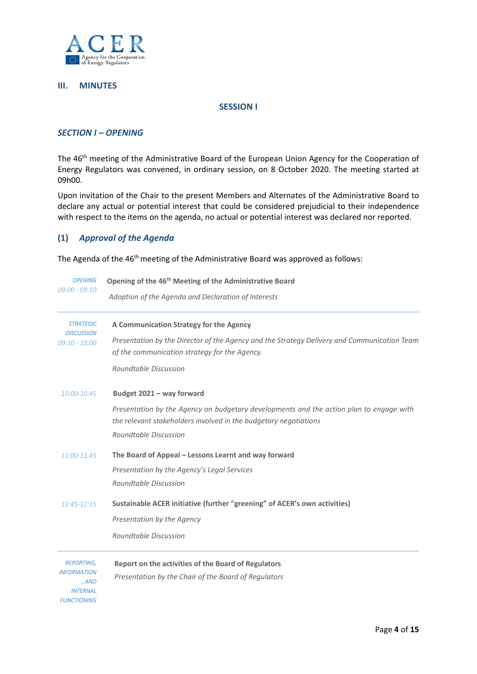

#### **III. MINUTES**

#### **SESSION I**

### *SECTION I – OPENING*

The 46<sup>th</sup> meeting of the Administrative Board of the European Union Agency for the Cooperation of Energy Regulators was convened, in ordinary session, on 8 October 2020. The meeting started at 09h00.

Upon invitation of the Chair to the present Members and Alternates of the Administrative Board to declare any actual or potential interest that could be considered prejudicial to their independence with respect to the items on the agenda, no actual or potential interest was declared nor reported.

## **(1)** *Approval of the Agenda*

The Agenda of the 46<sup>th</sup> meeting of the Administrative Board was approved as follows:

| Opening of the 46 <sup>th</sup> Meeting of the Administrative Board<br>Adoption of the Agenda and Declaration of Interests                                  |  |  |
|-------------------------------------------------------------------------------------------------------------------------------------------------------------|--|--|
|                                                                                                                                                             |  |  |
| Presentation by the Director of the Agency and the Strategy Delivery and Communication Team                                                                 |  |  |
| of the communication strategy for the Agency.                                                                                                               |  |  |
| Roundtable Discussion                                                                                                                                       |  |  |
| Budget 2021 - way forward                                                                                                                                   |  |  |
| Presentation by the Agency on budgetary developments and the action plan to engage with<br>the relevant stakeholders involved in the budgetary negotiations |  |  |
| Roundtable Discussion                                                                                                                                       |  |  |
| The Board of Appeal - Lessons Learnt and way forward                                                                                                        |  |  |
| Presentation by the Agency's Legal Services                                                                                                                 |  |  |
| Roundtable Discussion                                                                                                                                       |  |  |
| Sustainable ACER initiative (further "greening" of ACER's own activities)                                                                                   |  |  |
| Presentation by the Agency                                                                                                                                  |  |  |
| Roundtable Discussion                                                                                                                                       |  |  |
| Report on the activities of the Board of Regulators                                                                                                         |  |  |
| Presentation by the Chair of the Board of Regulators                                                                                                        |  |  |
|                                                                                                                                                             |  |  |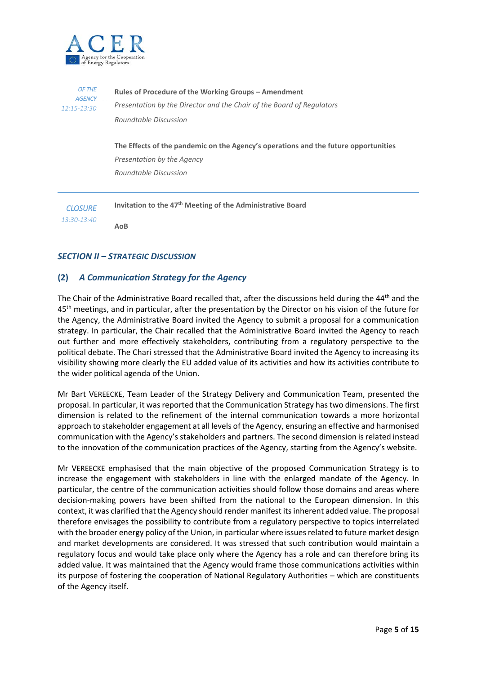

| OF THE          | Rules of Procedure of the Working Groups – Amendment                                                                                       |
|-----------------|--------------------------------------------------------------------------------------------------------------------------------------------|
| <b>AGENCY</b>   | Presentation by the Director and the Chair of the Board of Regulators                                                                      |
| $12:15 - 13:30$ | Roundtable Discussion                                                                                                                      |
|                 | The Effects of the pandemic on the Agency's operations and the future opportunities<br>Presentation by the Agency<br>Roundtable Discussion |
| <b>CLOSURE</b>  | Invitation to the 47 <sup>th</sup> Meeting of the Administrative Board                                                                     |
| 13:30-13:40     | AoB                                                                                                                                        |

## *SECTION II – STRATEGIC DISCUSSION*

## **(2)** *A Communication Strategy for the Agency*

The Chair of the Administrative Board recalled that, after the discussions held during the 44<sup>th</sup> and the 45<sup>th</sup> meetings, and in particular, after the presentation by the Director on his vision of the future for the Agency, the Administrative Board invited the Agency to submit a proposal for a communication strategy. In particular, the Chair recalled that the Administrative Board invited the Agency to reach out further and more effectively stakeholders, contributing from a regulatory perspective to the political debate. The Chari stressed that the Administrative Board invited the Agency to increasing its visibility showing more clearly the EU added value of its activities and how its activities contribute to the wider political agenda of the Union.

Mr Bart VEREECKE, Team Leader of the Strategy Delivery and Communication Team, presented the proposal. In particular, it was reported that the Communication Strategy has two dimensions. The first dimension is related to the refinement of the internal communication towards a more horizontal approach to stakeholder engagement at all levels of the Agency, ensuring an effective and harmonised communication with the Agency's stakeholders and partners. The second dimension is related instead to the innovation of the communication practices of the Agency, starting from the Agency's website.

Mr VEREECKE emphasised that the main objective of the proposed Communication Strategy is to increase the engagement with stakeholders in line with the enlarged mandate of the Agency. In particular, the centre of the communication activities should follow those domains and areas where decision-making powers have been shifted from the national to the European dimension. In this context, it was clarified that the Agency should render manifest its inherent added value. The proposal therefore envisages the possibility to contribute from a regulatory perspective to topics interrelated with the broader energy policy of the Union, in particular where issues related to future market design and market developments are considered. It was stressed that such contribution would maintain a regulatory focus and would take place only where the Agency has a role and can therefore bring its added value. It was maintained that the Agency would frame those communications activities within its purpose of fostering the cooperation of National Regulatory Authorities – which are constituents of the Agency itself.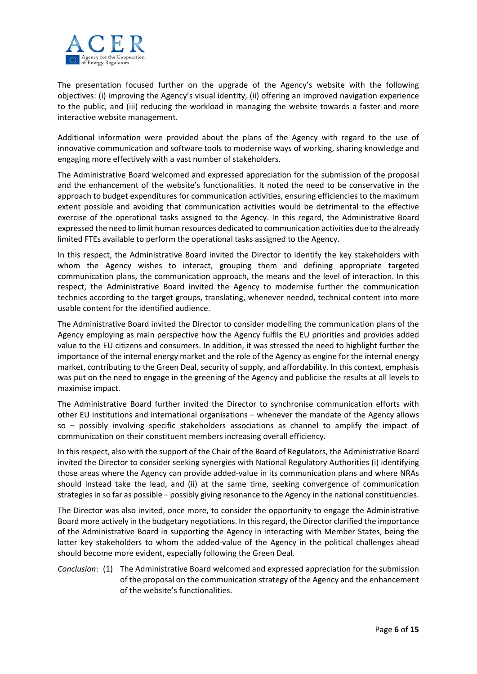

The presentation focused further on the upgrade of the Agency's website with the following objectives: (i) improving the Agency's visual identity, (ii) offering an improved navigation experience to the public, and (iii) reducing the workload in managing the website towards a faster and more interactive website management.

Additional information were provided about the plans of the Agency with regard to the use of innovative communication and software tools to modernise ways of working, sharing knowledge and engaging more effectively with a vast number of stakeholders.

The Administrative Board welcomed and expressed appreciation for the submission of the proposal and the enhancement of the website's functionalities. It noted the need to be conservative in the approach to budget expenditures for communication activities, ensuring efficiencies to the maximum extent possible and avoiding that communication activities would be detrimental to the effective exercise of the operational tasks assigned to the Agency. In this regard, the Administrative Board expressed the need to limit human resources dedicated to communication activities due to the already limited FTEs available to perform the operational tasks assigned to the Agency.

In this respect, the Administrative Board invited the Director to identify the key stakeholders with whom the Agency wishes to interact, grouping them and defining appropriate targeted communication plans, the communication approach, the means and the level of interaction. In this respect, the Administrative Board invited the Agency to modernise further the communication technics according to the target groups, translating, whenever needed, technical content into more usable content for the identified audience.

The Administrative Board invited the Director to consider modelling the communication plans of the Agency employing as main perspective how the Agency fulfils the EU priorities and provides added value to the EU citizens and consumers. In addition, it was stressed the need to highlight further the importance of the internal energy market and the role of the Agency as engine for the internal energy market, contributing to the Green Deal, security of supply, and affordability. In this context, emphasis was put on the need to engage in the greening of the Agency and publicise the results at all levels to maximise impact.

The Administrative Board further invited the Director to synchronise communication efforts with other EU institutions and international organisations – whenever the mandate of the Agency allows so - possibly involving specific stakeholders associations as channel to amplify the impact of communication on their constituent members increasing overall efficiency.

In this respect, also with the support of the Chair of the Board of Regulators, the Administrative Board invited the Director to consider seeking synergies with National Regulatory Authorities (i) identifying those areas where the Agency can provide added‐value in its communication plans and where NRAs should instead take the lead, and (ii) at the same time, seeking convergence of communication strategies in so far as possible – possibly giving resonance to the Agency in the national constituencies.

The Director was also invited, once more, to consider the opportunity to engage the Administrative Board more actively in the budgetary negotiations. In this regard, the Director clarified the importance of the Administrative Board in supporting the Agency in interacting with Member States, being the latter key stakeholders to whom the added-value of the Agency in the political challenges ahead should become more evident, especially following the Green Deal.

*Conclusion*: (1) The Administrative Board welcomed and expressed appreciation for the submission of the proposal on the communication strategy of the Agency and the enhancement of the website's functionalities.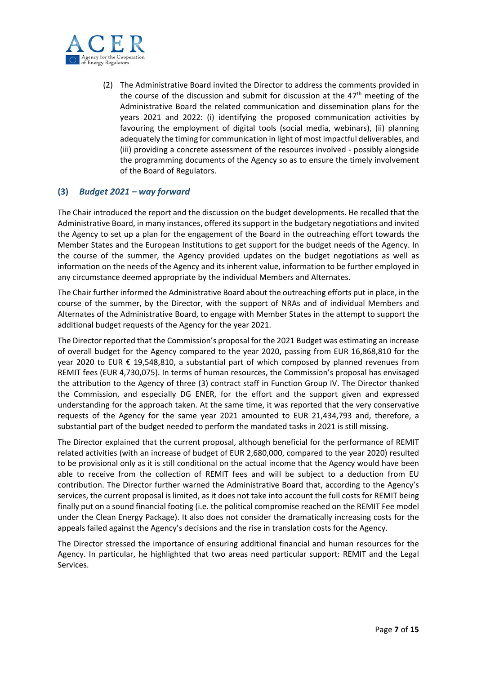

(2) The Administrative Board invited the Director to address the comments provided in the course of the discussion and submit for discussion at the  $47<sup>th</sup>$  meeting of the Administrative Board the related communication and dissemination plans for the years 2021 and 2022: (i) identifying the proposed communication activities by favouring the employment of digital tools (social media, webinars), (ii) planning adequately the timing for communication in light of most impactful deliverables, and (iii) providing a concrete assessment of the resources involved ‐ possibly alongside the programming documents of the Agency so as to ensure the timely involvement of the Board of Regulators.

# **(3)** *Budget 2021 – way forward*

The Chair introduced the report and the discussion on the budget developments. He recalled that the Administrative Board, in many instances, offered its support in the budgetary negotiations and invited the Agency to set up a plan for the engagement of the Board in the outreaching effort towards the Member States and the European Institutions to get support for the budget needs of the Agency. In the course of the summer, the Agency provided updates on the budget negotiations as well as information on the needs of the Agency and its inherent value, information to be further employed in any circumstance deemed appropriate by the individual Members and Alternates.

The Chair further informed the Administrative Board about the outreaching efforts put in place, in the course of the summer, by the Director, with the support of NRAs and of individual Members and Alternates of the Administrative Board, to engage with Member States in the attempt to support the additional budget requests of the Agency for the year 2021.

The Director reported that the Commission's proposal for the 2021 Budget was estimating an increase of overall budget for the Agency compared to the year 2020, passing from EUR 16,868,810 for the year 2020 to EUR € 19,548,810, a substantial part of which composed by planned revenues from REMIT fees (EUR 4,730,075). In terms of human resources, the Commission's proposal has envisaged the attribution to the Agency of three (3) contract staff in Function Group IV. The Director thanked the Commission, and especially DG ENER, for the effort and the support given and expressed understanding for the approach taken. At the same time, it was reported that the very conservative requests of the Agency for the same year 2021 amounted to EUR 21,434,793 and, therefore, a substantial part of the budget needed to perform the mandated tasks in 2021 is still missing.

The Director explained that the current proposal, although beneficial for the performance of REMIT related activities (with an increase of budget of EUR 2,680,000, compared to the year 2020) resulted to be provisional only as it is still conditional on the actual income that the Agency would have been able to receive from the collection of REMIT fees and will be subject to a deduction from EU contribution. The Director further warned the Administrative Board that, according to the Agency's services, the current proposal is limited, as it does not take into account the full costs for REMIT being finally put on a sound financial footing (i.e. the political compromise reached on the REMIT Fee model under the Clean Energy Package). It also does not consider the dramatically increasing costs for the appeals failed against the Agency's decisions and the rise in translation costs for the Agency.

The Director stressed the importance of ensuring additional financial and human resources for the Agency. In particular, he highlighted that two areas need particular support: REMIT and the Legal Services.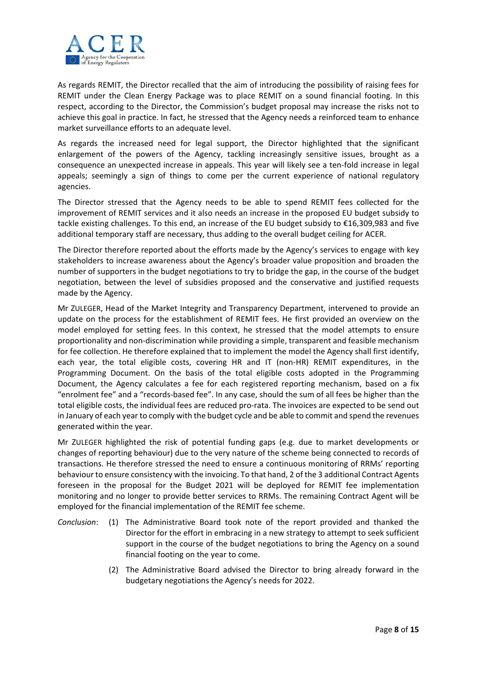

As regards REMIT, the Director recalled that the aim of introducing the possibility of raising fees for REMIT under the Clean Energy Package was to place REMIT on a sound financial footing. In this respect, according to the Director, the Commission's budget proposal may increase the risks not to achieve this goal in practice. In fact, he stressed that the Agency needs a reinforced team to enhance market surveillance efforts to an adequate level.

As regards the increased need for legal support, the Director highlighted that the significant enlargement of the powers of the Agency, tackling increasingly sensitive issues, brought as a consequence an unexpected increase in appeals. This year will likely see a ten‐fold increase in legal appeals; seemingly a sign of things to come per the current experience of national regulatory agencies.

The Director stressed that the Agency needs to be able to spend REMIT fees collected for the improvement of REMIT services and it also needs an increase in the proposed EU budget subsidy to tackle existing challenges. To this end, an increase of the EU budget subsidy to €16,309,983 and five additional temporary staff are necessary, thus adding to the overall budget ceiling for ACER.

The Director therefore reported about the efforts made by the Agency's services to engage with key stakeholders to increase awareness about the Agency's broader value proposition and broaden the number of supporters in the budget negotiations to try to bridge the gap, in the course of the budget negotiation, between the level of subsidies proposed and the conservative and justified requests made by the Agency.

Mr ZULEGER, Head of the Market Integrity and Transparency Department, intervened to provide an update on the process for the establishment of REMIT fees. He first provided an overview on the model employed for setting fees. In this context, he stressed that the model attempts to ensure proportionality and non‐discrimination while providing a simple, transparent and feasible mechanism for fee collection. He therefore explained that to implement the model the Agency shall first identify, each year, the total eligible costs, covering HR and IT (non-HR) REMIT expenditures, in the Programming Document. On the basis of the total eligible costs adopted in the Programming Document, the Agency calculates a fee for each registered reporting mechanism, based on a fix "enrolment fee" and a "records‐based fee". In any case, should the sum of all fees be higher than the total eligible costs, the individual fees are reduced pro‐rata. The invoices are expected to be send out in January of each year to comply with the budget cycle and be able to commit and spend the revenues generated within the year.

Mr ZULEGER highlighted the risk of potential funding gaps (e.g. due to market developments or changes of reporting behaviour) due to the very nature of the scheme being connected to records of transactions. He therefore stressed the need to ensure a continuous monitoring of RRMs' reporting behaviour to ensure consistency with the invoicing. To that hand, 2 of the 3 additional Contract Agents foreseen in the proposal for the Budget 2021 will be deployed for REMIT fee implementation monitoring and no longer to provide better services to RRMs. The remaining Contract Agent will be employed for the financial implementation of the REMIT fee scheme.

- *Conclusion*: (1) The Administrative Board took note of the report provided and thanked the Director for the effort in embracing in a new strategy to attempt to seek sufficient support in the course of the budget negotiations to bring the Agency on a sound financial footing on the year to come.
	- (2) The Administrative Board advised the Director to bring already forward in the budgetary negotiations the Agency's needs for 2022.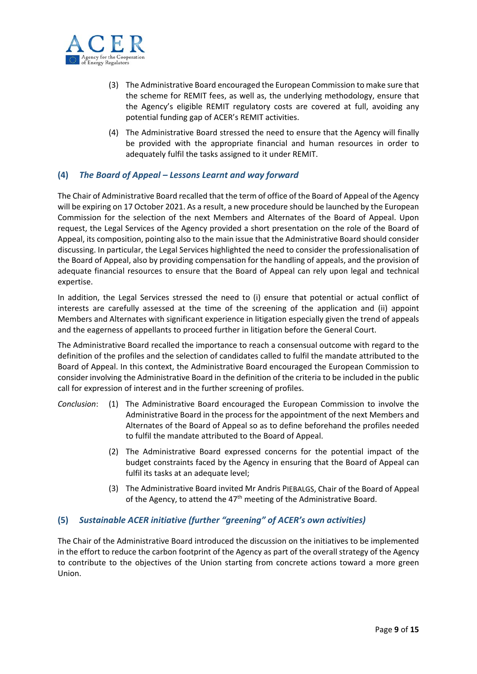

- (3) The Administrative Board encouraged the European Commission to make sure that the scheme for REMIT fees, as well as, the underlying methodology, ensure that the Agency's eligible REMIT regulatory costs are covered at full, avoiding any potential funding gap of ACER's REMIT activities.
- (4) The Administrative Board stressed the need to ensure that the Agency will finally be provided with the appropriate financial and human resources in order to adequately fulfil the tasks assigned to it under REMIT.

# **(4)** *The Board of Appeal – Lessons Learnt and way forward*

The Chair of Administrative Board recalled that the term of office of the Board of Appeal of the Agency will be expiring on 17 October 2021. As a result, a new procedure should be launched by the European Commission for the selection of the next Members and Alternates of the Board of Appeal. Upon request, the Legal Services of the Agency provided a short presentation on the role of the Board of Appeal, its composition, pointing also to the main issue that the Administrative Board should consider discussing. In particular, the Legal Services highlighted the need to consider the professionalisation of the Board of Appeal, also by providing compensation for the handling of appeals, and the provision of adequate financial resources to ensure that the Board of Appeal can rely upon legal and technical expertise.

In addition, the Legal Services stressed the need to (i) ensure that potential or actual conflict of interests are carefully assessed at the time of the screening of the application and (ii) appoint Members and Alternates with significant experience in litigation especially given the trend of appeals and the eagerness of appellants to proceed further in litigation before the General Court.

The Administrative Board recalled the importance to reach a consensual outcome with regard to the definition of the profiles and the selection of candidates called to fulfil the mandate attributed to the Board of Appeal. In this context, the Administrative Board encouraged the European Commission to consider involving the Administrative Board in the definition of the criteria to be included in the public call for expression of interest and in the further screening of profiles.

- *Conclusion*: (1) The Administrative Board encouraged the European Commission to involve the Administrative Board in the process for the appointment of the next Members and Alternates of the Board of Appeal so as to define beforehand the profiles needed to fulfil the mandate attributed to the Board of Appeal.
	- (2) The Administrative Board expressed concerns for the potential impact of the budget constraints faced by the Agency in ensuring that the Board of Appeal can fulfil its tasks at an adequate level;
	- (3) The Administrative Board invited Mr Andris PIEBALGS, Chair of the Board of Appeal of the Agency, to attend the 47<sup>th</sup> meeting of the Administrative Board.

# **(5)** *Sustainable ACER initiative (further "greening" of ACER's own activities)*

The Chair of the Administrative Board introduced the discussion on the initiatives to be implemented in the effort to reduce the carbon footprint of the Agency as part of the overall strategy of the Agency to contribute to the objectives of the Union starting from concrete actions toward a more green Union.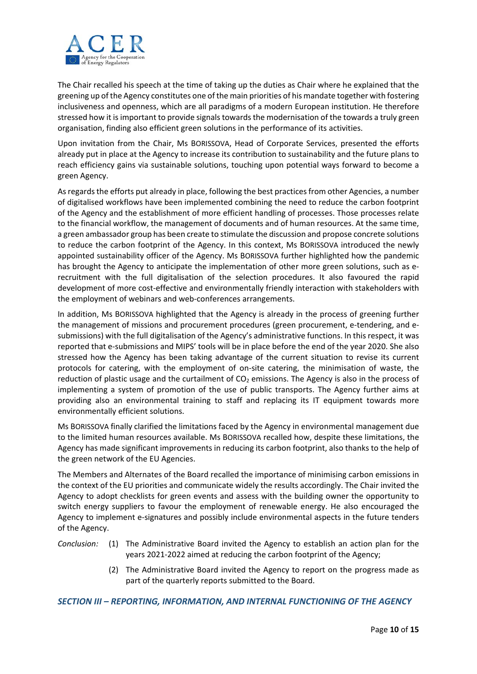

The Chair recalled his speech at the time of taking up the duties as Chair where he explained that the greening up of the Agency constitutes one of the main priorities of his mandate together with fostering inclusiveness and openness, which are all paradigms of a modern European institution. He therefore stressed how it is important to provide signals towards the modernisation of the towards a truly green organisation, finding also efficient green solutions in the performance of its activities.

Upon invitation from the Chair, Ms BORISSOVA, Head of Corporate Services, presented the efforts already put in place at the Agency to increase its contribution to sustainability and the future plans to reach efficiency gains via sustainable solutions, touching upon potential ways forward to become a green Agency.

As regards the efforts put already in place, following the best practices from other Agencies, a number of digitalised workflows have been implemented combining the need to reduce the carbon footprint of the Agency and the establishment of more efficient handling of processes. Those processes relate to the financial workflow, the management of documents and of human resources. At the same time, a green ambassador group has been create to stimulate the discussion and propose concrete solutions to reduce the carbon footprint of the Agency. In this context, Ms BORISSOVA introduced the newly appointed sustainability officer of the Agency. Ms BORISSOVA further highlighted how the pandemic has brought the Agency to anticipate the implementation of other more green solutions, such as erecruitment with the full digitalisation of the selection procedures. It also favoured the rapid development of more cost‐effective and environmentally friendly interaction with stakeholders with the employment of webinars and web‐conferences arrangements.

In addition, Ms BORISSOVA highlighted that the Agency is already in the process of greening further the management of missions and procurement procedures (green procurement, e-tendering, and esubmissions) with the full digitalisation of the Agency's administrative functions. In this respect, it was reported that e‐submissions and MIPS' tools will be in place before the end of the year 2020. She also stressed how the Agency has been taking advantage of the current situation to revise its current protocols for catering, with the employment of on-site catering, the minimisation of waste, the reduction of plastic usage and the curtailment of  $CO<sub>2</sub>$  emissions. The Agency is also in the process of implementing a system of promotion of the use of public transports. The Agency further aims at providing also an environmental training to staff and replacing its IT equipment towards more environmentally efficient solutions.

Ms BORISSOVA finally clarified the limitations faced by the Agency in environmental management due to the limited human resources available. Ms BORISSOVA recalled how, despite these limitations, the Agency has made significant improvements in reducing its carbon footprint, also thanks to the help of the green network of the EU Agencies.

The Members and Alternates of the Board recalled the importance of minimising carbon emissions in the context of the EU priorities and communicate widely the results accordingly. The Chair invited the Agency to adopt checklists for green events and assess with the building owner the opportunity to switch energy suppliers to favour the employment of renewable energy. He also encouraged the Agency to implement e-signatures and possibly include environmental aspects in the future tenders of the Agency.

- *Conclusion:* (1) The Administrative Board invited the Agency to establish an action plan for the years 2021-2022 aimed at reducing the carbon footprint of the Agency;
	- (2) The Administrative Board invited the Agency to report on the progress made as part of the quarterly reports submitted to the Board.

*SECTION III – REPORTING, INFORMATION, AND INTERNAL FUNCTIONING OF THE AGENCY*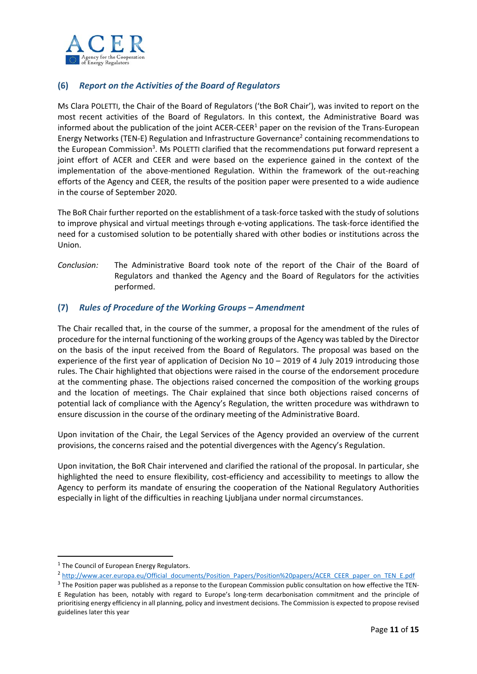

# **(6)** *Report on the Activities of the Board of Regulators*

Ms Clara POLETTI, the Chair of the Board of Regulators ('the BoR Chair'), was invited to report on the most recent activities of the Board of Regulators. In this context, the Administrative Board was informed about the publication of the joint ACER-CEER<sup>1</sup> paper on the revision of the Trans-European Energy Networks (TEN-E) Regulation and Infrastructure Governance<sup>2</sup> containing recommendations to the European Commission<sup>3</sup>. Ms POLETTI clarified that the recommendations put forward represent a joint effort of ACER and CEER and were based on the experience gained in the context of the implementation of the above-mentioned Regulation. Within the framework of the out-reaching efforts of the Agency and CEER, the results of the position paper were presented to a wide audience in the course of September 2020.

The BoR Chair further reported on the establishment of a task‐force tasked with the study of solutions to improve physical and virtual meetings through e-voting applications. The task-force identified the need for a customised solution to be potentially shared with other bodies or institutions across the Union.

*Conclusion:* The Administrative Board took note of the report of the Chair of the Board of Regulators and thanked the Agency and the Board of Regulators for the activities performed.

# **(7)** *Rules of Procedure of the Working Groups – Amendment*

The Chair recalled that, in the course of the summer, a proposal for the amendment of the rules of procedure for the internal functioning of the working groups of the Agency was tabled by the Director on the basis of the input received from the Board of Regulators. The proposal was based on the experience of the first year of application of Decision No 10 – 2019 of 4 July 2019 introducing those rules. The Chair highlighted that objections were raised in the course of the endorsement procedure at the commenting phase. The objections raised concerned the composition of the working groups and the location of meetings. The Chair explained that since both objections raised concerns of potential lack of compliance with the Agency's Regulation, the written procedure was withdrawn to ensure discussion in the course of the ordinary meeting of the Administrative Board.

Upon invitation of the Chair, the Legal Services of the Agency provided an overview of the current provisions, the concerns raised and the potential divergences with the Agency's Regulation.

Upon invitation, the BoR Chair intervened and clarified the rational of the proposal. In particular, she highlighted the need to ensure flexibility, cost-efficiency and accessibility to meetings to allow the Agency to perform its mandate of ensuring the cooperation of the National Regulatory Authorities especially in light of the difficulties in reaching Ljubljana under normal circumstances.

<sup>&</sup>lt;sup>1</sup> The Council of European Energy Regulators.

<sup>2</sup> http://www.acer.europa.eu/Official\_documents/Position\_Papers/Position%20papers/ACER\_CEER\_paper\_on\_TEN\_E.pdf

<sup>&</sup>lt;sup>3</sup> The Position paper was published as a reponse to the European Commission public consultation on how effective the TEN-E Regulation has been, notably with regard to Europe's long-term decarbonisation commitment and the principle of prioritising energy efficiency in all planning, policy and investment decisions. The Commission is expected to propose revised guidelines later this year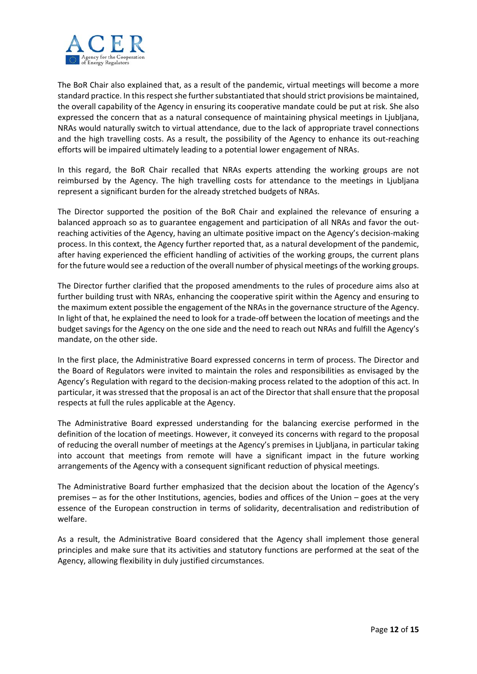

The BoR Chair also explained that, as a result of the pandemic, virtual meetings will become a more standard practice. In this respect she further substantiated that should strict provisions be maintained, the overall capability of the Agency in ensuring its cooperative mandate could be put at risk. She also expressed the concern that as a natural consequence of maintaining physical meetings in Ljubljana, NRAs would naturally switch to virtual attendance, due to the lack of appropriate travel connections and the high travelling costs. As a result, the possibility of the Agency to enhance its out-reaching efforts will be impaired ultimately leading to a potential lower engagement of NRAs.

In this regard, the BoR Chair recalled that NRAs experts attending the working groups are not reimbursed by the Agency. The high travelling costs for attendance to the meetings in Ljubljana represent a significant burden for the already stretched budgets of NRAs.

The Director supported the position of the BoR Chair and explained the relevance of ensuring a balanced approach so as to guarantee engagement and participation of all NRAs and favor the outreaching activities of the Agency, having an ultimate positive impact on the Agency's decision‐making process. In this context, the Agency further reported that, as a natural development of the pandemic, after having experienced the efficient handling of activities of the working groups, the current plans for the future would see a reduction of the overall number of physical meetings of the working groups.

The Director further clarified that the proposed amendments to the rules of procedure aims also at further building trust with NRAs, enhancing the cooperative spirit within the Agency and ensuring to the maximum extent possible the engagement of the NRAs in the governance structure of the Agency. In light of that, he explained the need to look for a trade‐off between the location of meetings and the budget savings for the Agency on the one side and the need to reach out NRAs and fulfill the Agency's mandate, on the other side.

In the first place, the Administrative Board expressed concerns in term of process. The Director and the Board of Regulators were invited to maintain the roles and responsibilities as envisaged by the Agency's Regulation with regard to the decision‐making process related to the adoption of this act. In particular, it was stressed that the proposal is an act of the Director that shall ensure that the proposal respects at full the rules applicable at the Agency.

The Administrative Board expressed understanding for the balancing exercise performed in the definition of the location of meetings. However, it conveyed its concerns with regard to the proposal of reducing the overall number of meetings at the Agency's premises in Ljubljana, in particular taking into account that meetings from remote will have a significant impact in the future working arrangements of the Agency with a consequent significant reduction of physical meetings.

The Administrative Board further emphasized that the decision about the location of the Agency's premises – as for the other Institutions, agencies, bodies and offices of the Union – goes at the very essence of the European construction in terms of solidarity, decentralisation and redistribution of welfare.

As a result, the Administrative Board considered that the Agency shall implement those general principles and make sure that its activities and statutory functions are performed at the seat of the Agency, allowing flexibility in duly justified circumstances.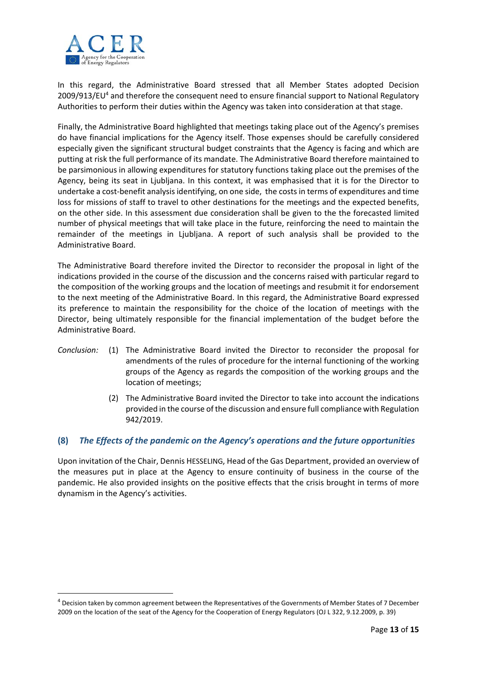

In this regard, the Administrative Board stressed that all Member States adopted Decision 2009/913/EU<sup>4</sup> and therefore the consequent need to ensure financial support to National Regulatory Authorities to perform their duties within the Agency was taken into consideration at that stage.

Finally, the Administrative Board highlighted that meetings taking place out of the Agency's premises do have financial implications for the Agency itself. Those expenses should be carefully considered especially given the significant structural budget constraints that the Agency is facing and which are putting at risk the full performance of its mandate. The Administrative Board therefore maintained to be parsimonious in allowing expenditures for statutory functions taking place out the premises of the Agency, being its seat in Ljubljana. In this context, it was emphasised that it is for the Director to undertake a cost‐benefit analysis identifying, on one side, the costs in terms of expenditures and time loss for missions of staff to travel to other destinations for the meetings and the expected benefits, on the other side. In this assessment due consideration shall be given to the the forecasted limited number of physical meetings that will take place in the future, reinforcing the need to maintain the remainder of the meetings in Ljubljana. A report of such analysis shall be provided to the Administrative Board.

The Administrative Board therefore invited the Director to reconsider the proposal in light of the indications provided in the course of the discussion and the concerns raised with particular regard to the composition of the working groups and the location of meetings and resubmit it for endorsement to the next meeting of the Administrative Board. In this regard, the Administrative Board expressed its preference to maintain the responsibility for the choice of the location of meetings with the Director, being ultimately responsible for the financial implementation of the budget before the Administrative Board.

- *Conclusion:* (1) The Administrative Board invited the Director to reconsider the proposal for amendments of the rules of procedure for the internal functioning of the working groups of the Agency as regards the composition of the working groups and the location of meetings;
	- (2) The Administrative Board invited the Director to take into account the indications provided in the course of the discussion and ensure full compliance with Regulation 942/2019.

# **(8)** *The Effects of the pandemic on the Agency's operations and the future opportunities*

Upon invitation of the Chair, Dennis HESSELING, Head of the Gas Department, provided an overview of the measures put in place at the Agency to ensure continuity of business in the course of the pandemic. He also provided insights on the positive effects that the crisis brought in terms of more dynamism in the Agency's activities.

<sup>&</sup>lt;sup>4</sup> Decision taken by common agreement between the Representatives of the Governments of Member States of 7 December 2009 on the location of the seat of the Agency for the Cooperation of Energy Regulators (OJ L 322, 9.12.2009, p. 39)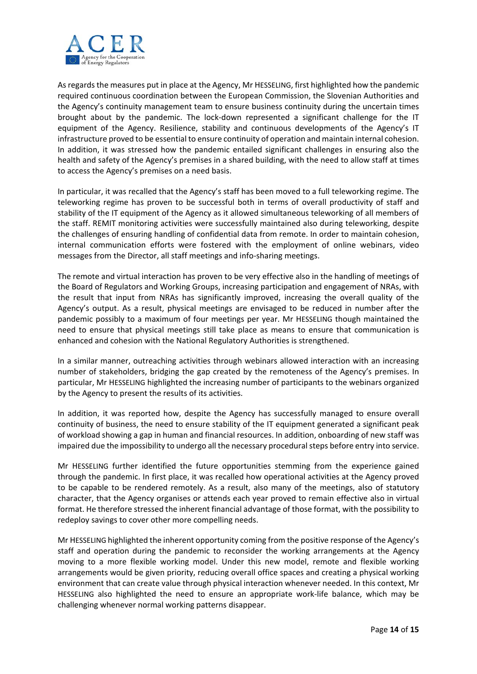

As regards the measures put in place at the Agency, Mr HESSELING, first highlighted how the pandemic required continuous coordination between the European Commission, the Slovenian Authorities and the Agency's continuity management team to ensure business continuity during the uncertain times brought about by the pandemic. The lock‐down represented a significant challenge for the IT equipment of the Agency. Resilience, stability and continuous developments of the Agency's IT infrastructure proved to be essential to ensure continuity of operation and maintain internal cohesion. In addition, it was stressed how the pandemic entailed significant challenges in ensuring also the health and safety of the Agency's premises in a shared building, with the need to allow staff at times to access the Agency's premises on a need basis.

In particular, it was recalled that the Agency's staff has been moved to a full teleworking regime. The teleworking regime has proven to be successful both in terms of overall productivity of staff and stability of the IT equipment of the Agency as it allowed simultaneous teleworking of all members of the staff. REMIT monitoring activities were successfully maintained also during teleworking, despite the challenges of ensuring handling of confidential data from remote. In order to maintain cohesion, internal communication efforts were fostered with the employment of online webinars, video messages from the Director, all staff meetings and info‐sharing meetings.

The remote and virtual interaction has proven to be very effective also in the handling of meetings of the Board of Regulators and Working Groups, increasing participation and engagement of NRAs, with the result that input from NRAs has significantly improved, increasing the overall quality of the Agency's output. As a result, physical meetings are envisaged to be reduced in number after the pandemic possibly to a maximum of four meetings per year. Mr HESSELING though maintained the need to ensure that physical meetings still take place as means to ensure that communication is enhanced and cohesion with the National Regulatory Authorities is strengthened.

In a similar manner, outreaching activities through webinars allowed interaction with an increasing number of stakeholders, bridging the gap created by the remoteness of the Agency's premises. In particular, Mr HESSELING highlighted the increasing number of participants to the webinars organized by the Agency to present the results of its activities.

In addition, it was reported how, despite the Agency has successfully managed to ensure overall continuity of business, the need to ensure stability of the IT equipment generated a significant peak of workload showing a gap in human and financial resources. In addition, onboarding of new staff was impaired due the impossibility to undergo all the necessary procedural steps before entry into service.

Mr HESSELING further identified the future opportunities stemming from the experience gained through the pandemic. In first place, it was recalled how operational activities at the Agency proved to be capable to be rendered remotely. As a result, also many of the meetings, also of statutory character, that the Agency organises or attends each year proved to remain effective also in virtual format. He therefore stressed the inherent financial advantage of those format, with the possibility to redeploy savings to cover other more compelling needs.

Mr HESSELING highlighted the inherent opportunity coming from the positive response of the Agency's staff and operation during the pandemic to reconsider the working arrangements at the Agency moving to a more flexible working model. Under this new model, remote and flexible working arrangements would be given priority, reducing overall office spaces and creating a physical working environment that can create value through physical interaction whenever needed. In this context, Mr HESSELING also highlighted the need to ensure an appropriate work-life balance, which may be challenging whenever normal working patterns disappear.